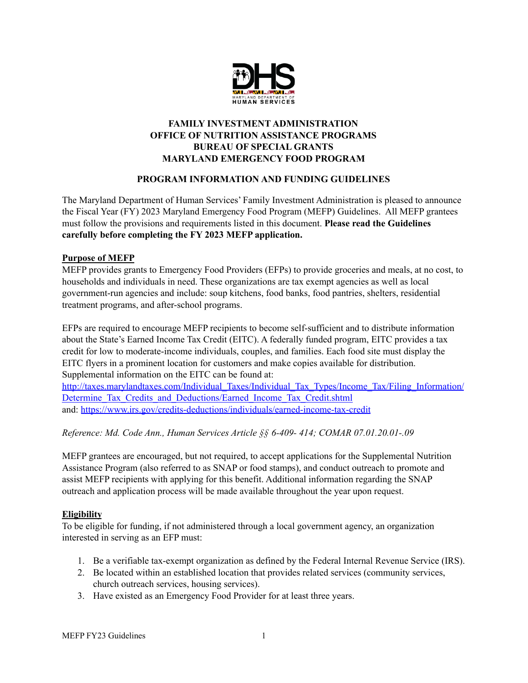

# **FAMILY INVESTMENT ADMINISTRATION OFFICE OF NUTRITION ASSISTANCE PROGRAMS BUREAU OF SPECIAL GRANTS MARYLAND EMERGENCY FOOD PROGRAM**

# **PROGRAM INFORMATION AND FUNDING GUIDELINES**

The Maryland Department of Human Services' Family Investment Administration is pleased to announce the Fiscal Year (FY) 2023 Maryland Emergency Food Program (MEFP) Guidelines. All MEFP grantees must follow the provisions and requirements listed in this document. **Please read the Guidelines carefully before completing the FY 2023 MEFP application.**

## **Purpose of MEFP**

MEFP provides grants to Emergency Food Providers (EFPs) to provide groceries and meals, at no cost, to households and individuals in need. These organizations are tax exempt agencies as well as local government-run agencies and include: soup kitchens, food banks, food pantries, shelters, residential treatment programs, and after-school programs.

EFPs are required to encourage MEFP recipients to become self-sufficient and to distribute information about the State's Earned Income Tax Credit (EITC). A federally funded program, EITC provides a tax credit for low to moderate-income individuals, couples, and families. Each food site must display the EITC flyers in a prominent location for customers and make copies available for distribution. Supplemental information on the EITC can be found at:

[http://taxes.marylandtaxes.com/Individual\\_Taxes/Individual\\_Tax\\_Types/Income\\_Tax/Filing\\_Information/](http://taxes.marylandtaxes.com/Individual_Taxes/Individual_Tax_Types/Income_Tax/Filing_Information/Determine_Tax_Credits_and_Deductions/Earned_Income_Tax_Credit.shtml) Determine Tax Credits and Deductions/Earned Income Tax Credit.shtml and: <https://www.irs.gov/credits-deductions/individuals/earned-income-tax-credit>

*Reference: Md. Code Ann., Human Services Article §§ 6-409- 414; COMAR 07.01.20.01-.09*

MEFP grantees are encouraged, but not required, to accept applications for the Supplemental Nutrition Assistance Program (also referred to as SNAP or food stamps), and conduct outreach to promote and assist MEFP recipients with applying for this benefit. Additional information regarding the SNAP outreach and application process will be made available throughout the year upon request.

# **Eligibility**

To be eligible for funding, if not administered through a local government agency, an organization interested in serving as an EFP must:

- 1. Be a verifiable tax-exempt organization as defined by the Federal Internal Revenue Service (IRS).
- 2. Be located within an established location that provides related services (community services, church outreach services, housing services).
- 3. Have existed as an Emergency Food Provider for at least three years.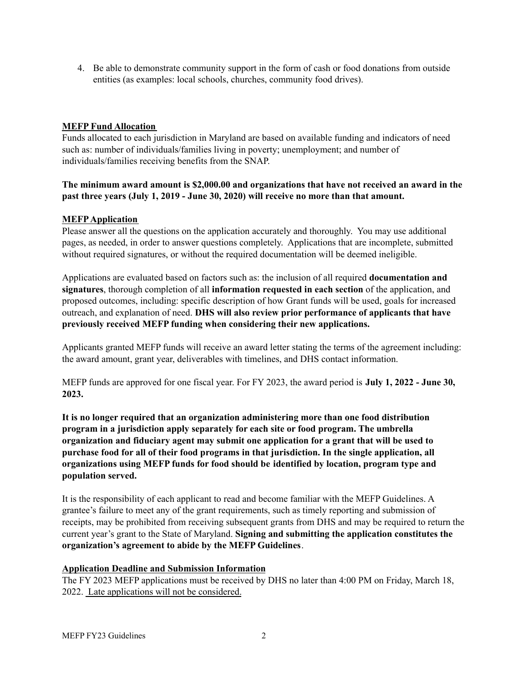4. Be able to demonstrate community support in the form of cash or food donations from outside entities (as examples: local schools, churches, community food drives).

# **MEFP Fund Allocation**

Funds allocated to each jurisdiction in Maryland are based on available funding and indicators of need such as: number of individuals/families living in poverty; unemployment; and number of individuals/families receiving benefits from the SNAP.

## **The minimum award amount is \$2,000.00 and organizations that have not received an award in the past three years (July 1, 2019 - June 30, 2020) will receive no more than that amount.**

#### **MEFPApplication**

Please answer all the questions on the application accurately and thoroughly. You may use additional pages, as needed, in order to answer questions completely. Applications that are incomplete, submitted without required signatures, or without the required documentation will be deemed ineligible.

Applications are evaluated based on factors such as: the inclusion of all required **documentation and signatures**, thorough completion of all **information requested in each section** of the application, and proposed outcomes, including: specific description of how Grant funds will be used, goals for increased outreach, and explanation of need. **DHS will also review prior performance of applicants that have previously received MEFP funding when considering their new applications.**

Applicants granted MEFP funds will receive an award letter stating the terms of the agreement including: the award amount, grant year, deliverables with timelines, and DHS contact information.

MEFP funds are approved for one fiscal year. For FY 2023, the award period is **July 1, 2022 - June 30, 2023.**

**It is no longer required that an organization administering more than one food distribution program in a jurisdiction apply separately for each site or food program. The umbrella organization and fiduciary agent may submit one application for a grant that will be used to purchase food for all of their food programs in that jurisdiction. In the single application, all organizations using MEFP funds for food should be identified by location, program type and population served.**

It is the responsibility of each applicant to read and become familiar with the MEFP Guidelines. A grantee's failure to meet any of the grant requirements, such as timely reporting and submission of receipts, may be prohibited from receiving subsequent grants from DHS and may be required to return the current year's grant to the State of Maryland. **Signing and submitting the application constitutes the organization's agreement to abide by the MEFP Guidelines**.

## **Application Deadline and Submission Information**

The FY 2023 MEFP applications must be received by DHS no later than 4:00 PM on Friday, March 18, 2022. Late applications will not be considered.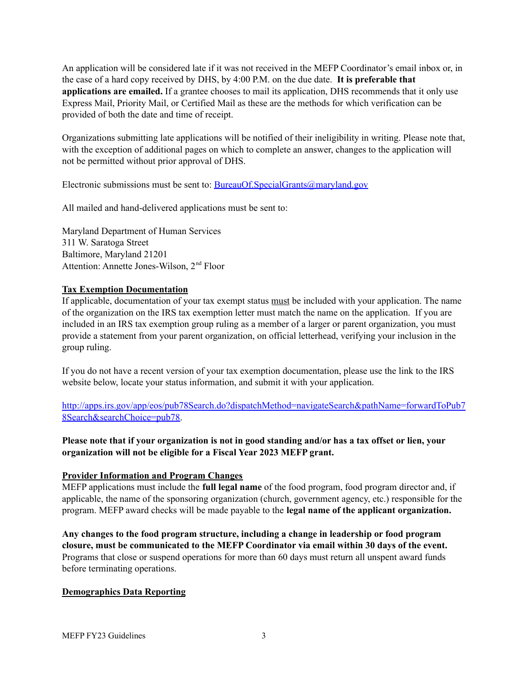An application will be considered late if it was not received in the MEFP Coordinator's email inbox or, in the case of a hard copy received by DHS, by 4:00 P.M. on the due date. **It is preferable that applications are emailed.** If a grantee chooses to mail its application, DHS recommends that it only use Express Mail, Priority Mail, or Certified Mail as these are the methods for which verification can be provided of both the date and time of receipt.

Organizations submitting late applications will be notified of their ineligibility in writing. Please note that, with the exception of additional pages on which to complete an answer, changes to the application will not be permitted without prior approval of DHS.

Electronic submissions must be sent to: **[BureauOf.SpecialGrants@maryland.gov](mailto:BureauOf.SpecialGrants@maryland.gov)** 

All mailed and hand-delivered applications must be sent to:

Maryland Department of Human Services 311 W. Saratoga Street Baltimore, Maryland 21201 Attention: Annette Jones-Wilson, 2<sup>nd</sup> Floor

## **Tax Exemption Documentation**

If applicable, documentation of your tax exempt status must be included with your application. The name of the organization on the IRS tax exemption letter must match the name on the application. If you are included in an IRS tax exemption group ruling as a member of a larger or parent organization, you must provide a statement from your parent organization, on official letterhead, verifying your inclusion in the group ruling.

If you do not have a recent version of your tax exemption documentation, please use the link to the IRS website below, locate your status information, and submit it with your application.

[http://apps.irs.gov/app/eos/pub78Search.do?dispatchMethod=navigateSearch&pathName=forwardToPub7](http://apps.irs.gov/app/eos/pub78Search.do?dispatchMethod=navigateSearch&pathName=forwardToPub78Search&searchChoice=pub78) [8Search&searchChoice=pub78.](http://apps.irs.gov/app/eos/pub78Search.do?dispatchMethod=navigateSearch&pathName=forwardToPub78Search&searchChoice=pub78)

Please note that if your organization is not in good standing and/or has a tax offset or lien, your **organization will not be eligible for a Fiscal Year 2023 MEFP grant.**

#### **Provider Information and Program Changes**

MEFP applications must include the **full legal name** of the food program, food program director and, if applicable, the name of the sponsoring organization (church, government agency, etc.) responsible for the program. MEFP award checks will be made payable to the **legal name of the applicant organization.**

**Any changes to the food program structure, including a change in leadership or food program closure, must be communicated to the MEFP Coordinator via email within 30 days of the event.** Programs that close or suspend operations for more than 60 days must return all unspent award funds before terminating operations.

#### **Demographics Data Reporting**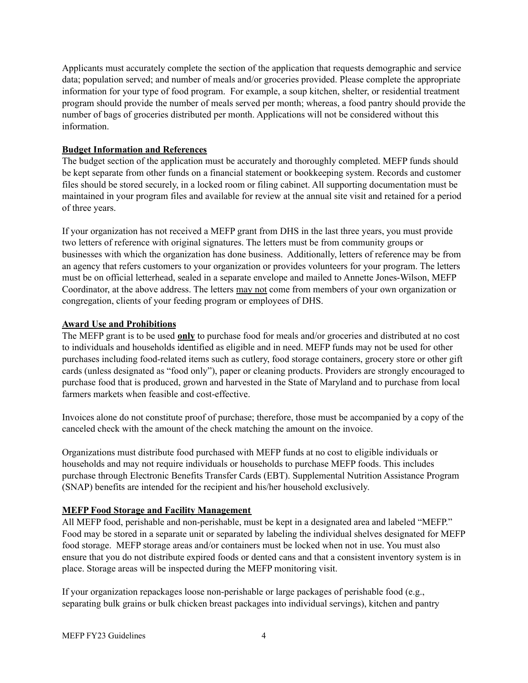Applicants must accurately complete the section of the application that requests demographic and service data; population served; and number of meals and/or groceries provided. Please complete the appropriate information for your type of food program. For example, a soup kitchen, shelter, or residential treatment program should provide the number of meals served per month; whereas, a food pantry should provide the number of bags of groceries distributed per month. Applications will not be considered without this information.

# **Budget Information and References**

The budget section of the application must be accurately and thoroughly completed. MEFP funds should be kept separate from other funds on a financial statement or bookkeeping system. Records and customer files should be stored securely, in a locked room or filing cabinet. All supporting documentation must be maintained in your program files and available for review at the annual site visit and retained for a period of three years.

If your organization has not received a MEFP grant from DHS in the last three years, you must provide two letters of reference with original signatures. The letters must be from community groups or businesses with which the organization has done business. Additionally, letters of reference may be from an agency that refers customers to your organization or provides volunteers for your program. The letters must be on official letterhead, sealed in a separate envelope and mailed to Annette Jones-Wilson, MEFP Coordinator, at the above address. The letters may not come from members of your own organization or congregation, clients of your feeding program or employees of DHS.

# **Award Use and Prohibitions**

The MEFP grant is to be used **only** to purchase food for meals and/or groceries and distributed at no cost to individuals and households identified as eligible and in need. MEFP funds may not be used for other purchases including food-related items such as cutlery, food storage containers, grocery store or other gift cards (unless designated as "food only"), paper or cleaning products. Providers are strongly encouraged to purchase food that is produced, grown and harvested in the State of Maryland and to purchase from local farmers markets when feasible and cost-effective.

Invoices alone do not constitute proof of purchase; therefore, those must be accompanied by a copy of the canceled check with the amount of the check matching the amount on the invoice.

Organizations must distribute food purchased with MEFP funds at no cost to eligible individuals or households and may not require individuals or households to purchase MEFP foods. This includes purchase through Electronic Benefits Transfer Cards (EBT). Supplemental Nutrition Assistance Program (SNAP) benefits are intended for the recipient and his/her household exclusively.

# **MEFP Food Storage and Facility Management**

All MEFP food, perishable and non-perishable, must be kept in a designated area and labeled "MEFP." Food may be stored in a separate unit or separated by labeling the individual shelves designated for MEFP food storage. MEFP storage areas and/or containers must be locked when not in use. You must also ensure that you do not distribute expired foods or dented cans and that a consistent inventory system is in place. Storage areas will be inspected during the MEFP monitoring visit.

If your organization repackages loose non-perishable or large packages of perishable food (e.g., separating bulk grains or bulk chicken breast packages into individual servings), kitchen and pantry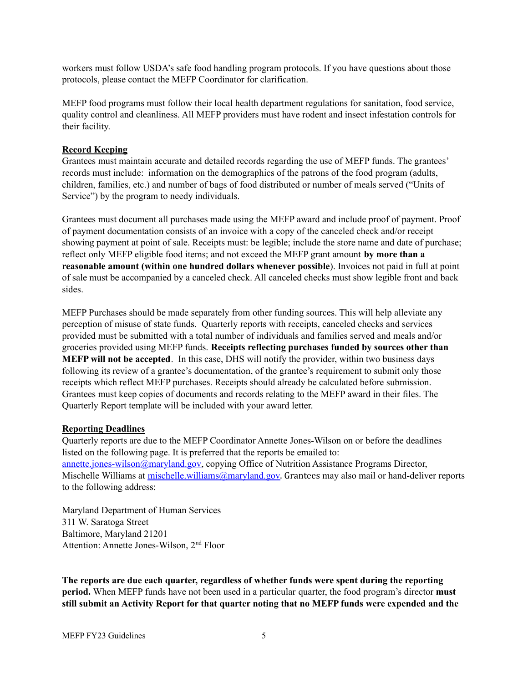workers must follow USDA's safe food handling program protocols. If you have questions about those protocols, please contact the MEFP Coordinator for clarification.

MEFP food programs must follow their local health department regulations for sanitation, food service, quality control and cleanliness. All MEFP providers must have rodent and insect infestation controls for their facility.

## **Record Keeping**

Grantees must maintain accurate and detailed records regarding the use of MEFP funds. The grantees' records must include: information on the demographics of the patrons of the food program (adults, children, families, etc.) and number of bags of food distributed or number of meals served ("Units of Service") by the program to needy individuals.

Grantees must document all purchases made using the MEFP award and include proof of payment. Proof of payment documentation consists of an invoice with a copy of the canceled check and/or receipt showing payment at point of sale. Receipts must: be legible; include the store name and date of purchase; reflect only MEFP eligible food items; and not exceed the MEFP grant amount **by more than a reasonable amount (within one hundred dollars whenever possible**). Invoices not paid in full at point of sale must be accompanied by a canceled check. All canceled checks must show legible front and back sides.

MEFP Purchases should be made separately from other funding sources. This will help alleviate any perception of misuse of state funds. Quarterly reports with receipts, canceled checks and services provided must be submitted with a total number of individuals and families served and meals and/or groceries provided using MEFP funds. **Receipts reflecting purchases funded by sources other than MEFP will not be accepted**. In this case, DHS will notify the provider, within two business days following its review of a grantee's documentation, of the grantee's requirement to submit only those receipts which reflect MEFP purchases. Receipts should already be calculated before submission. Grantees must keep copies of documents and records relating to the MEFP award in their files. The Quarterly Report template will be included with your award letter.

#### **Reporting Deadlines**

Quarterly reports are due to the MEFP Coordinator Annette Jones-Wilson on or before the deadlines listed on the following page. It is preferred that the reports be emailed to: [annette.jones-wilson@maryland.gov,](mailto:annette.jones-wilson@maryland.gov) copying Office of Nutrition Assistance Programs Director, Mischelle Williams at mischelle.william[s@maryland.gov](mailto:bonnie.ariano@maryland.gov). Grantees may also mail or hand-deliver reports to the following address:

Maryland Department of Human Services 311 W. Saratoga Street Baltimore, Maryland 21201 Attention: Annette Jones-Wilson, 2<sup>nd</sup> Floor

**The reports are due each quarter, regardless of whether funds were spent during the reporting period.** When MEFP funds have not been used in a particular quarter, the food program's director **must still submit an Activity Report for that quarter noting that no MEFP funds were expended and the**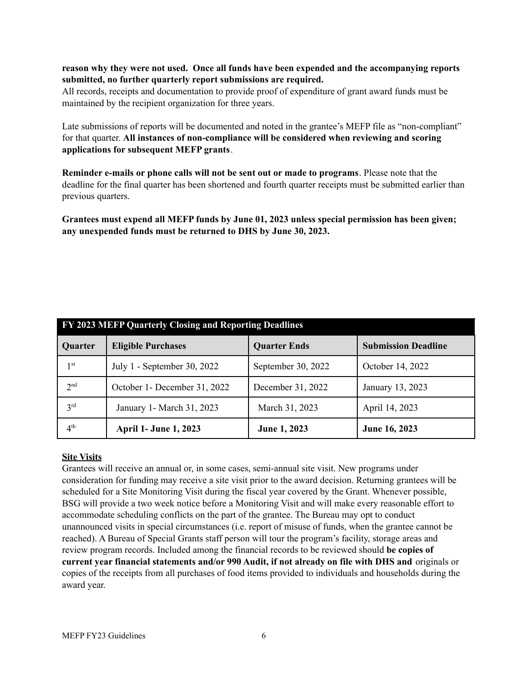## **reason why they were not used. Once all funds have been expended and the accompanying reports submitted, no further quarterly report submissions are required.**

All records, receipts and documentation to provide proof of expenditure of grant award funds must be maintained by the recipient organization for three years.

Late submissions of reports will be documented and noted in the grantee's MEFP file as "non-compliant" for that quarter. **All instances of non-compliance will be considered when reviewing and scoring applications for subsequent MEFP grants**.

**Reminder e-mails or phone calls will not be sent out or made to programs**. Please note that the deadline for the final quarter has been shortened and fourth quarter receipts must be submitted earlier than previous quarters.

**Grantees must expend all MEFP funds by June 01, 2023 unless special permission has been given; any unexpended funds must be returned to DHS by June 30, 2023.**

| FY 2023 MEFP Quarterly Closing and Reporting Deadlines |                              |                     |                            |
|--------------------------------------------------------|------------------------------|---------------------|----------------------------|
| Quarter                                                | <b>Eligible Purchases</b>    | <b>Quarter Ends</b> | <b>Submission Deadline</b> |
| 1 <sup>st</sup>                                        | July 1 - September 30, 2022  | September 30, 2022  | October 14, 2022           |
| 2 <sup>nd</sup>                                        | October 1- December 31, 2022 | December 31, 2022   | January 13, 2023           |
| 3 <sup>rd</sup>                                        | January 1 - March 31, 2023   | March 31, 2023      | April 14, 2023             |
| 4 <sup>th</sup>                                        | <b>April 1- June 1, 2023</b> | June 1, 2023        | June 16, 2023              |

# **Site Visits**

Grantees will receive an annual or, in some cases, semi-annual site visit. New programs under consideration for funding may receive a site visit prior to the award decision. Returning grantees will be scheduled for a Site Monitoring Visit during the fiscal year covered by the Grant. Whenever possible, BSG will provide a two week notice before a Monitoring Visit and will make every reasonable effort to accommodate scheduling conflicts on the part of the grantee. The Bureau may opt to conduct unannounced visits in special circumstances (i.e. report of misuse of funds, when the grantee cannot be reached). A Bureau of Special Grants staff person will tour the program's facility, storage areas and review program records. Included among the financial records to be reviewed should **be copies of current year financial statements and/or 990 Audit, if not already on file with DHS and** originals or copies of the receipts from all purchases of food items provided to individuals and households during the award year.